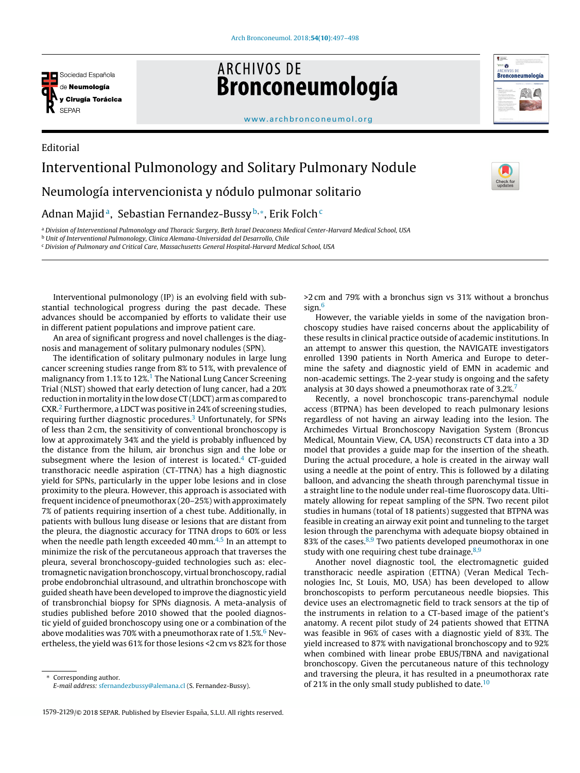

Editorial

**ARCHIVOS DE** Bronconeumología



Check f

## www.archbronconeumol.org

## Interventional Pulmonology and Solitary Pulmonary Nodule Neumología intervencionista y nódulo pulmonar solitario Adnan Majidª, Sebastian Fernandez-Bussy<sup>b,</sup>\*, Erik Folch<sup>c</sup>

<sup>a</sup> Division of Interventional Pulmonology and Thoracic Surgery, Beth Israel Deaconess Medical Center-Harvard Medical School, USA

<sup>b</sup> Unit of Interventional Pulmonology, Clinica Alemana-Universidad del Desarrollo, Chile

<sup>c</sup> Division of Pulmonary and Critical Care, Massachusetts General Hospital-Harvard Medical School, USA

Interventional pulmonology (IP) is an evolving field with substantial technological progress during the past decade. These advances should be accompanied by efforts to validate their use in different patient populations and improve patient care.

An area of significant progress and novel challenges is the diagnosis and management of solitary pulmonary nodules (SPN).

The identification of solitary pulmonary nodules in large lung cancer screening studies range from 8% to 51%, with prevalence of malignancy from 1.1% to 12%.<sup>1</sup> The National Lung Cancer Screening Trial (NLST) showed that early detection of lung cancer, had a 20% reduction in mortality in the low dose CT (LDCT) arm as compared to CXR.<sup>2</sup> Furthermore, a LDCT was positive in 24% of screening studies, requiring further diagnostic procedures.<sup>3</sup> Unfortunately, for SPNs of less than 2 cm, the sensitivity of conventional bronchoscopy is low at approximately 34% and the yield is probably influenced by the distance from the hilum, air bronchus sign and the lobe or subsegment where the lesion of interest is located. $4$  CT-guided transthoracic needle aspiration (CT-TTNA) has a high diagnostic yield for SPNs, particularly in the upper lobe lesions and in close proximity to the pleura. However, this approach is associated with frequent incidence of pneumothorax (20–25%) with approximately 7% of patients requiring insertion of a chest tube. Additionally, in patients with bullous lung disease or lesions that are distant from the pleura, the diagnostic accuracy for TTNA drops to 60% or less when the needle path length exceeded 40 mm. $4.5$  In an attempt to minimize the risk of the percutaneous approach that traverses the pleura, several bronchoscopy-guided technologies such as: electromagnetic navigation bronchoscopy, virtual bronchoscopy, radial probe endobronchial ultrasound, and ultrathin bronchoscope with guided sheath have been developed to improve the diagnostic yield of transbronchial biopsy for SPNs diagnosis. A meta-analysis of studies published before 2010 showed that the pooled diagnostic yield of guided bronchoscopy using one or a combination of the above modalities was 70% with a pneumothorax rate of  $1.5\%$ . Nevertheless, the yield was 61% for those lesions <2 cm vs 82% for those

Corresponding author. E-mail address: sfernandezbussy@alemana.cl (S. Fernandez-Bussy).

1579-2129/© 2018 SEPAR. Published by Elsevier España, S.L.U. All rights reserved.

>2 cm and 79% with a bronchus sign vs 31% without a bronchus sign.<sup>6</sup>

However, the variable yields in some of the navigation bronchoscopy studies have raised concerns about the applicability of these results in clinical practice outside of academic institutions. In an attempt to answer this question, the NAVIGATE investigators enrolled 1390 patients in North America and Europe to determine the safety and diagnostic yield of EMN in academic and non-academic settings. The 2-year study is ongoing and the safety analysis at 30 days showed a pneumothorax rate of 3.2%.<sup>7</sup>

Recently, a novel bronchoscopic trans-parenchymal nodule access (BTPNA) has been developed to reach pulmonary lesions regardless of not having an airway leading into the lesion. The Archimedes Virtual Bronchoscopy Navigation System (Broncus Medical, Mountain View, CA, USA) reconstructs CT data into a 3D model that provides a guide map for the insertion of the sheath. During the actual procedure, a hole is created in the airway wall using a needle at the point of entry. This is followed by a dilating balloon, and advancing the sheath through parenchymal tissue in a straight line to the nodule under real-time fluoroscopy data. Ultimately allowing for repeat sampling of the SPN. Two recent pilot studies in humans (total of 18 patients) suggested that BTPNA was feasible in creating an airway exit point and tunneling to the target lesion through the parenchyma with adequate biopsy obtained in 83% of the cases. $8,9$  Two patients developed pneumothorax in one study with one requiring chest tube drainage. $8,9$ 

Another novel diagnostic tool, the electromagnetic guided transthoracic needle aspiration (ETTNA) (Veran Medical Technologies Inc, St Louis, MO, USA) has been developed to allow bronchoscopists to perform percutaneous needle biopsies. This device uses an electromagnetic field to track sensors at the tip of the instruments in relation to a CT-based image of the patient's anatomy. A recent pilot study of 24 patients showed that ETTNA was feasible in 96% of cases with a diagnostic yield of 83%. The yield increased to 87% with navigational bronchoscopy and to 92% when combined with linear probe EBUS/TBNA and navigational bronchoscopy. Given the percutaneous nature of this technology and traversing the pleura, it has resulted in a pneumothorax rate of 21% in the only small study published to date.<sup>10</sup>